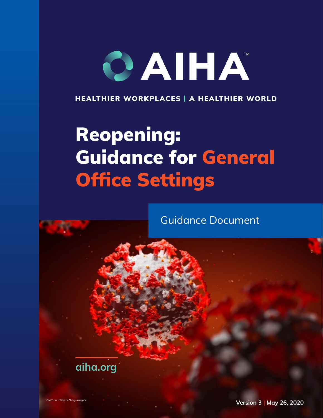# CAIHA

HEALTHIER WORKPLACES | A HEALTHIER WORLD

# Reopening: Guidance for General Office Settings

Guidance Document

**[aiha.org](https://www.aiha.org)**

*Photo courtesy of Getty Images* **Version 3 | May 26, 2020**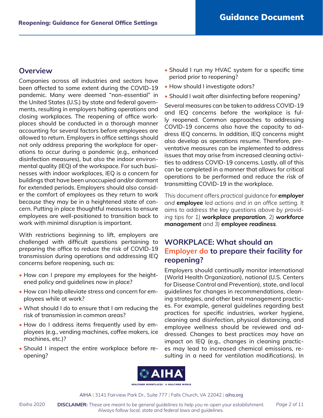## **Overview**

Companies across all industries and sectors have been affected to some extent during the COVID-19 pandemic. Many were deemed "non-essential" in the United States (U.S.) by state and federal governments, resulting in employers halting operations and closing workplaces. The reopening of office workplaces should be conducted in a thorough manner accounting for several factors before employees are allowed to return. Employers in office settings should not only address preparing the workplace for operations to occur during a pandemic (e.g., enhanced disinfection measures), but also the indoor environmental quality (IEQ) of the workspace. For such businesses with indoor workplaces, IEQ is a concern for buildings that have been unoccupied and/or dormant for extended periods. Employers should also consider the comfort of employees as they return to work because they may be in a heightened state of concern. Putting in place thoughtful measures to ensure employees are well-positioned to transition back to work with minimal disruption is important.

With restrictions beginning to lift, employers are challenged with difficult questions pertaining to preparing the office to reduce the risk of COVID-19 transmission during operations and addressing IEQ concerns before reopening, such as:

- How can I prepare my employees for the heightened policy and guidelines now in place?
- How can I help alleviate stress and concern for employees while at work?
- What should I do to ensure that I am reducing the risk of transmission in common areas?
- How do I address items frequently used by employees (e.g., vending machines, coffee makers, ice machines, etc.)?
- Should I inspect the entire workplace before reopening?
- Should I run my HVAC system for a specific time period prior to reopening?
- How should I investigate odors?
- Should I wait after disinfecting before reopening?

Several measures can be taken to address COVID-19 and IEQ concerns before the workplace is fully reopened. Common approaches to addressing COVID-19 concerns also have the capacity to address IEQ concerns. In addition, IEQ concerns might also develop as operations resume. Therefore, preventative measures can be implemented to address issues that may arise from increased cleaning activities to address COVID-19 concerns. Lastly, all of this can be completed in a manner that allows for critical operations to be performed and reduce the risk of transmitting COVID-19 in the workplace.

*This document offers practical guidance for employer and employee led actions and in an office setting. It aims to address the key questions above by providing tips for 1) workplace preparation, 2) workforce management and 3) employee readiness.*

# **WORKPLACE: What should an Employer do to prepare their facility for reopening?**

Employers should continually monitor international (World Health Organization), national (U.S. Centers for Disease Control and Prevention), state, and local guidelines for changes in recommendations, cleaning strategies, and other best management practices. For example, general guidelines regarding best practices for specific industries, worker hygiene, cleaning and disinfection, physical distancing, and employee wellness should be reviewed and addressed. Changes to best practices may have an impact on IEQ (e.g., changes in cleaning practices may lead to increased chemical emissions, resulting in a need for ventilation modifications). In



AIHA | 3141 Fairview Park Dr., Suite 777 | Falls Church, VA 22042 | [aiha.org](https://www.aiha.org)

©aiha 2020 **DISCLAIMER:** These are meant to be general guidelines to help you re-open your establishment. Page 2 of 11 *Always follow local, state and federal laws and guidelines.*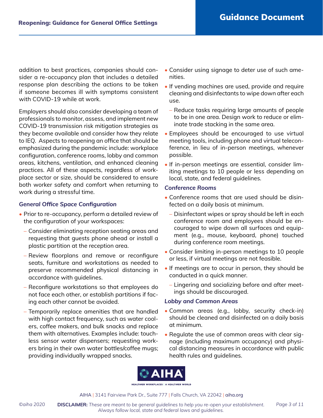addition to best practices, companies should consider a re-occupancy plan that includes a detailed response plan describing the actions to be taken if someone becomes ill with symptoms consistent with COVID-19 while at work.

Employers should also consider developing a team of professionals to monitor, assess, and implement new COVID-19 transmission risk mitigation strategies as they become available and consider how they relate to IEQ. Aspects to reopening an office that should be emphasized during the pandemic include: workplace configuration, conference rooms, lobby and common areas, kitchens, ventilation, and enhanced cleaning practices. All of these aspects, regardless of workplace sector or size, should be considered to ensure both worker safety and comfort when returning to work during a stressful time.

#### *General Office Space Configuration*

- Prior to re-occupancy, perform a detailed review of the configuration of your workspaces:
	- Consider eliminating reception seating areas and requesting that guests phone ahead or install a plastic partition at the reception area.
	- Review floorplans and remove or reconfigure seats, furniture and workstations as needed to preserve recommended physical distancing in accordance with guidelines.
	- Reconfigure workstations so that employees do not face each other, or establish partitions if facing each other cannot be avoided.
	- Temporarily replace amenities that are handled with high contact frequency, such as water coolers, coffee makers, and bulk snacks and replace them with alternatives. Examples include: touchless sensor water dispensers; requesting workers bring in their own water bottles/coffee mugs; providing individually wrapped snacks.
- Consider using signage to deter use of such amenities.
- If vending machines are used, provide and require cleaning and disinfectants to wipe down after each use.
	- Reduce tasks requiring large amounts of people to be in one area. Design work to reduce or eliminate trade stacking in the same area.
- Employees should be encouraged to use virtual meeting tools, including phone and virtual teleconference, in lieu of in-person meetings, whenever possible.
- If in-person meetings are essential, consider limiting meetings to 10 people or less depending on local, state, and federal guidelines.

#### *Conference Rooms*

- Conference rooms that are used should be disinfected on a daily basis at minimum.
	- Disinfectant wipes or spray should be left in each conference room and employees should be encouraged to wipe down all surfaces and equipment (e.g., mouse, keyboard, phone) touched during conference room meetings.
- Consider limiting in-person meetings to 10 people or less, if virtual meetings are not feasible.
- If meetings are to occur in person, they should be conducted in a quick manner.
	- Lingering and socializing before and after meetings should be discouraged.

#### *Lobby and Common Areas*

- Common areas (e.g., lobby, security check-in) should be cleaned and disinfected on a daily basis at minimum.
- Regulate the use of common areas with clear signage (including maximum occupancy) and physical distancing measures in accordance with public health rules and guidelines.



AIHA | 3141 Fairview Park Dr., Suite 777 | Falls Church, VA 22042 | [aiha.org](https://www.aiha.org)

©aiha 2020 **DISCLAIMER:** These are meant to be general guidelines to help you re-open your establishment. Page 3 of 11 *Always follow local, state and federal laws and guidelines.*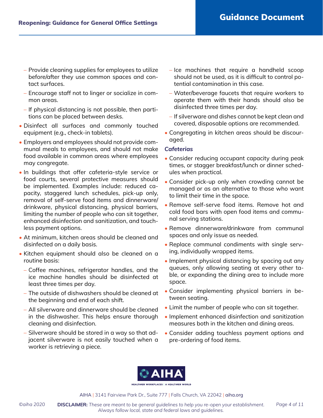- Provide cleaning supplies for employees to utilize before/after they use common spaces and contact surfaces.
- Encourage staff not to linger or socialize in common areas.
- If physical distancing is not possible, then partitions can be placed between desks.
- Disinfect all surfaces and commonly touched equipment (e.g., check-in tablets).
- Employers and employees should not provide communal meals to employees, and should not make food available in common areas where employees may congregate.
- In buildings that offer cafeteria-style service or food courts, several protective measures should be implemented. Examples include: reduced capacity, staggered lunch schedules, pick-up only, removal of self-serve food items and dinnerware/ drinkware, physical distancing, physical barriers, limiting the number of people who can sit together, enhanced disinfection and sanitization, and touchless payment options.
- At minimum, kitchen areas should be cleaned and disinfected on a daily basis.
- Kitchen equipment should also be cleaned on a routine basis:
	- Coffee machines, refrigerator handles, and the ice machine handles should be disinfected at least three times per day.
	- The outside of dishwashers should be cleaned at the beginning and end of each shift.
	- All silverware and dinnerware should be cleaned in the dishwasher. This helps ensure thorough cleaning and disinfection.
	- Silverware should be stored in a way so that adjacent silverware is not easily touched when a worker is retrieving a piece.
- Ice machines that require a handheld scoop should not be used, as it is difficult to control potential contamination in this case.
- Water/beverage faucets that require workers to operate them with their hands should also be disinfected three times per day.
- If silverware and dishes cannot be kept clean and covered, disposable options are recommended.
- Congregating in kitchen areas should be discouraged.

#### *Cafeterias*

- Consider reducing occupant capacity during peak times, or stagger breakfast/lunch or dinner schedules when practical.
- Consider pick-up only when crowding cannot be managed or as an alternative to those who want to limit their time in the space.
- Remove self-serve food items. Remove hot and cold food bars with open food items and communal serving stations.
- Remove dinnerware/drinkware from communal spaces and only issue as needed.
- Replace communal condiments with single serving, individually wrapped items.
- Implement physical distancing by spacing out any queues, only allowing seating at every other table, or expanding the dining area to include more space.
- Consider implementing physical barriers in between seating.
- Limit the number of people who can sit together.
- Implement enhanced disinfection and sanitization measures both in the kitchen and dining areas.
- Consider adding touchless payment options and pre-ordering of food items.

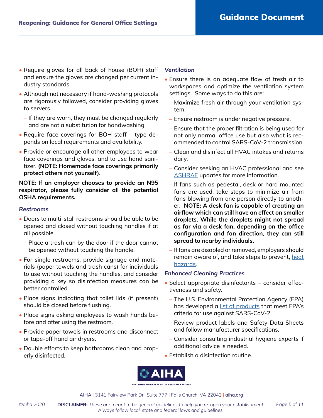- Require gloves for all back of house (BOH) staff and ensure the gloves are changed per current industry standards.
- Although not necessary if hand-washing protocols are rigorously followed, consider providing gloves to servers.
	- If they are worn, they must be changed regularly and are not a substitution for handwashing.
- Require face coverings for BOH staff type depends on local requirements and availability.
- Provide or encourage all other employees to wear face coverings and gloves, and to use hand sanitizer. **(NOTE: Homemade face coverings primarily protect others not yourself).**

**NOTE: If an employer chooses to provide an N95 respirator, please fully consider all the potential OSHA requirements.**

#### *Restrooms*

- Doors to multi-stall restrooms should be able to be opened and closed without touching handles if at all possible.
	- Place a trash can by the door if the door cannot be opened without touching the handle.
- For single restrooms, provide signage and materials (paper towels and trash cans) for individuals to use without touching the handles, and consider providing a key so disinfection measures can be better controlled.
- Place signs indicating that toilet lids (if present) should be closed before flushing.
- Place signs asking employees to wash hands before and after using the restroom.
- Provide paper towels in restrooms and disconnect or tape-off hand air dryers.
- Double efforts to keep bathrooms clean and properly disinfected.

#### *Ventilation*

- Ensure there is an adequate flow of fresh air to workspaces and optimize the ventilation system settings. Some ways to do this are:
	- Maximize fresh air through your ventilation system.
	- Ensure restroom is under negative pressure.
	- Ensure that the proper filtration is being used for not only normal office use but also what is recommended to control SARS-CoV-2 transmission.
	- Clean and disinfect all HVAC intakes and returns daily.
	- Consider seeking an HVAC professional and see [ASHRAE](https://www.ashrae.org/about/news/2020/ashrae-issues-statements-on-relationship-between-covid-19-and-hvac-in-buildings) updates for more information.
	- If fans such as pedestal, desk or hard mounted fans are used, take steps to minimize air from fans blowing from one person directly to another. **NOTE: A desk fan is capable of creating an airflow which can still have an effect on smaller droplets. While the droplets might not spread as far via a desk fan, depending on the office configuration and fan direction, they can still spread to nearby individuals.**
	- If fans are disabled or removed, employers should remain aware of, and take steps to prevent, [heat](https://www.osha.gov/SLTC/heatstress/) [hazards](https://www.osha.gov/SLTC/heatstress/).

#### *Enhanced Cleaning Practices*

- Select appropriate disinfectants consider effectiveness and safety.
	- The U.S. Environmental Protection Agency (EPA) has developed a [list of products](https://aiha22042-my.sharepoint.com/personal/ixhani_aiha_org/Documents/Back to Work Safely/Final docs May 7/: https:/www.epa.gov/pesticide-registration/list-n-disinfectants-use-against-sars-cov-2) that meet EPA's criteria for use against SARS-CoV-2.
	- Review product labels and Safety Data Sheets and follow manufacturer specifications.
- Consider consulting industrial hygiene experts if additional advice is needed.
- Establish a disinfection routine.

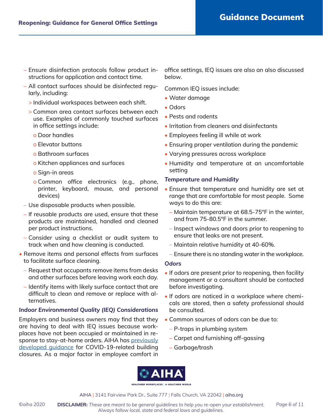- Ensure disinfection protocols follow product instructions for application and contact time.
- All contact surfaces should be disinfected regularly, including:
	- > Individual workspaces between each shift.
	- > Common area contact surfaces between each use. Examples of commonly touched surfaces in office settings include:
		- o Door handles
		- o Elevator buttons
		- o Bathroom surfaces
		- o Kitchen appliances and surfaces
		- o Sign-in areas
		- o Common office electronics (e.g., phone, printer, keyboard, mouse, and personal devices)
- Use disposable products when possible.
- If reusable products are used, ensure that these products are maintained, handled and cleaned per product instructions.
- Consider using a checklist or audit system to track when and how cleaning is conducted.
- Remove items and personal effects from surfaces to facilitate surface cleaning.
	- Request that occupants remove items from desks and other surfaces before leaving work each day.
	- Identify items with likely surface contact that are difficult to clean and remove or replace with alternatives.

#### *Indoor Environmental Quality (IEQ) Considerations*

Employers and business owners may find that they are having to deal with IEQ issues because workplaces have not been occupied or maintained in response to stay-at-home orders. AIHA has [previously](https://aiha-assets.sfo2.digitaloceanspaces.com/AIHA/resources/Public-Resources/RecoveringFromCOVID-19BuildingClosures_GuidanceDocument.FINAL.pdf) developed quidance for COVID-19-related building closures. As a major factor in employee comfort in office settings, IEQ issues are also an also discussed below.

Common IEQ issues include:

- Water damage
- Odors
- Pests and rodents
- Irritation from cleaners and disinfectants
- Employees feeling ill while at work
- Ensuring proper ventilation during the pandemic
- Varying pressures across workplace
- Humidity and temperature at an uncomfortable setting

#### *Temperature and Humidity*

- Ensure that temperature and humidity are set at range that are comfortable for most people. Some ways to do this are:
	- Maintain temperature at 68.5-75°F in the winter, and from 75-80.5°F in the summer.
	- Inspect windows and doors prior to reopening to ensure that leaks are not present.
	- Maintain relative humidity at 40-60%.
	- Ensure there is no standing water in the workplace.

#### *Odors*

- If odors are present prior to reopening, then facility management or a consultant should be contacted before investigating.
- If odors are noticed in a workplace where chemicals are stored, then a safety professional should be consulted.
- Common sources of odors can be due to:
	- P-traps in plumbing system
	- Carpet and furnishing off-gassing
	- Garbage/trash

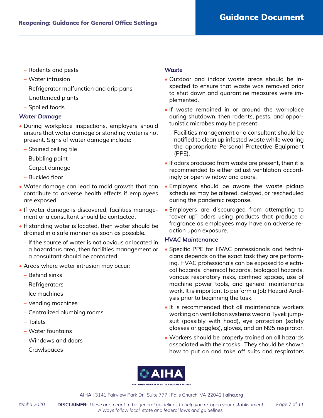- Rodents and pests
- Water intrusion
- Refrigerator malfunction and drip pans
- Unattended plants
- Spoiled foods

#### *Water Damage*

- During workplace inspections, employers should ensure that water damage or standing water is not present. Signs of water damage include:
	- Stained ceiling tile
	- Bubbling paint
	- Carpet damage
	- Buckled floor
- Water damage can lead to mold growth that can contribute to adverse health effects if employees are exposed.
- If water damage is discovered, facilities management or a consultant should be contacted.
- If standing water is located, then water should be drained in a safe manner as soon as possible.
	- If the source of water is not obvious or located in a hazardous area, then facilities management or a consultant should be contacted.
- Areas where water intrusion may occur:
	- Behind sinks
	- Refrigerators
	- Ice machines
	- Vending machines
	- Centralized plumbing rooms
	- Toilets
	- Water fountains
	- Windows and doors
	- Crawlspaces

#### *Waste*

- Outdoor and indoor waste areas should be inspected to ensure that waste was removed prior to shut down and quarantine measures were implemented.
- If waste remained in or around the workplace during shutdown, then rodents, pests, and opportunistic microbes may be present.
	- Facilities management or a consultant should be notified to clean up infested waste while wearing the appropriate Personal Protective Equipment (PPE).
- If odors produced from waste are present, then it is recommended to either adjust ventilation accordingly or open window and doors.
- Employers should be aware the waste pickup schedules may be altered, delayed, or rescheduled during the pandemic response.
- Employers are discouraged from attempting to "cover up" odors using products that produce a fragrance as employees may have an adverse reaction upon exposure.

#### *HVAC Maintenance*

- Specific PPE for HVAC professionals and technicians depends on the exact task they are performing. HVAC professionals can be exposed to electrical hazards, chemical hazards, biological hazards, various respiratory risks, confined spaces, use of machine power tools, and general maintenance work. It is important to perform a Job Hazard Analysis prior to beginning the task.
- It is recommended that all maintenance workers working on ventilation systems wear a Tyvek jumpsuit (possibly with hood), eye protection (safety glasses or goggles), gloves, and an N95 respirator.
- Workers should be properly trained on all hazards associated with their tasks. They should be shown how to put on and take off suits and respirators

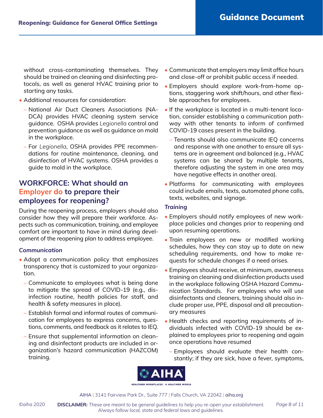without cross-contaminating themselves. They should be trained on cleaning and disinfecting protocols, as well as general HVAC training prior to starting any tasks.

- Additional resources for consideration:
	- National Air Duct Cleaners Associations (NA-DCA) provides HVAC cleaning system service guidance. OSHA provides *Legionella* control and prevention guidance as well as guidance on mold in the workplace.
	- For *Legionella*, OSHA provides PPE recommendations for routine maintenance, cleaning, and disinfection of HVAC systems. OSHA provides a guide to mold in the workplace.

# **WORKFORCE: What should an Employer do to prepare their employees for reopening?**

During the reopening process, employers should also consider how they will prepare their workforce. Aspects such as communication, training, and employee comfort are important to have in mind during development of the reopening plan to address employee.

#### *Communication*

- Adopt a communication policy that emphasizes transparency that is customized to your organization.
	- Communicate to employees what is being done to mitigate the spread of COVID-19 (e.g., disinfection routine, health policies for staff, and health & safety measures in place).
	- Establish formal and informal routes of communication for employees to express concerns, questions, comments, and feedback as it relates to IEQ.
	- Ensure that supplemental information on cleaning and disinfectant products are included in organization's hazard communication (HAZCOM) training.
- Communicate that employers may limit office hours and close-off or prohibit public access if needed.
- Employers should explore work-from-home options, staggering work shift/hours, and other flexible approaches for employees.
- If the workplace is located in a multi-tenant location, consider establishing a communication pathway with other tenants to inform of confirmed COVID-19 cases present in the building.
	- Tenants should also communicate IEQ concerns and response with one another to ensure all systems are in agreement and balanced (e.g., HVAC systems can be shared by multiple tenants, therefore adjusting the system in one area may have negative effects in another area).
- Platforms for communicating with employees could include emails, texts, automated phone calls, texts, websites, and signage.

#### *Training*

- Employers should notify employees of new workplace policies and changes prior to reopening and upon resuming operations.
- Train employees on new or modified working schedules, how they can stay up to date on new scheduling requirements, and how to make requests for schedule changes if a need arises.
- Employees should receive, at minimum, awareness training on cleaning and disinfection products used in the workplace following OSHA Hazard Communication Standards. For employees who will use disinfectants and cleaners, training should also include proper use, PPE, disposal and all precautionary measures
- Health checks and reporting requirements of individuals infected with COVID-19 should be explained to employees prior to reopening and again once operations have resumed
	- Employees should evaluate their health constantly; if they are sick, have a fever, symptoms,



AIHA | 3141 Fairview Park Dr., Suite 777 | Falls Church, VA 22042 | [aiha.org](https://www.aiha.org)

©aiha 2020 **DISCLAIMER:** These are meant to be general guidelines to help you re-open your establishment. Page 8 of 11 *Always follow local, state and federal laws and guidelines.*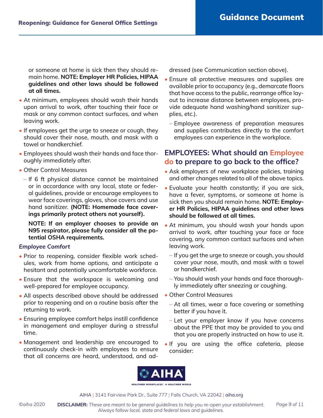or someone at home is sick then they should remain home. **NOTE: Employer HR Policies, HIPAA guidelines and other laws should be followed at all times.**

- At minimum, employees should wash their hands upon arrival to work, after touching their face or mask or any common contact surfaces, and when leaving work.
- If employees get the urge to sneeze or cough, they should cover their nose, mouth, and mask with a towel or handkerchief.
- Employees should wash their hands and face thoroughly immediately after.
- Other Control Measures
	- If 6 ft physical distance cannot be maintained or in accordance with any local, state or federal guidelines, provide or encourage employees to wear face coverings, gloves, shoe covers and use hand sanitizer. **(NOTE: Homemade face coverings primarily protect others not yourself).**

**NOTE: If an employer chooses to provide an N95 respirator, please fully consider all the potential OSHA requirements.**

#### *Employee Comfort*

- Prior to reopening, consider flexible work schedules, work from home options, and anticipate a hesitant and potentially uncomfortable workforce.
- Ensure that the workspace is welcoming and well-prepared for employee occupancy.
- All aspects described above should be addressed prior to reopening and on a routine basis after the returning to work.
- Ensuring employee comfort helps instill confidence in management and employer during a stressful time.
- Management and leadership are encouraged to continuously check-in with employees to ensure that all concerns are heard, understood, and ad-

dressed (see Communication section above).

- Ensure all protective measures and supplies are available prior to occupancy (e.g., demarcate floors that have access to the public, rearrange office layout to increase distance between employees, provide adequate hand washing/hand sanitizer supplies, etc.).
	- Employee awareness of preparation measures and supplies contributes directly to the comfort employees can experience in the workplace.

# **EMPLOYEES: What should an Employee do to prepare to go back to the office?**

- Ask employers of new workplace policies, training and other changes related to all of the above topics.
- Evaluate your health constantly; if you are sick, have a fever, symptoms, or someone at home is sick then you should remain home. **NOTE: Employer HR Policies, HIPAA guidelines and other laws should be followed at all times.**
- At minimum, you should wash your hands upon arrival to work, after touching your face or face covering, any common contact surfaces and when leaving work.
	- If you get the urge to sneeze or cough, you should cover your nose, mouth, and mask with a towel or handkerchief.
	- You should wash your hands and face thoroughly immediately after sneezing or coughing.
- Other Control Measures
	- At all times, wear a face covering or something better if you have it.
	- Let your employer know if you have concerns about the PPE that may be provided to you and that you are properly instructed on how to use it.
- If you are using the office cafeteria, please consider:

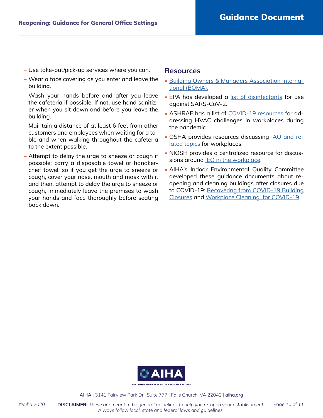- Use take-out/pick-up services where you can.
- Wear a face covering as you enter and leave the building.
- Wash your hands before and after you leave the cafeteria if possible. If not, use hand sanitizer when you sit down and before you leave the building.
- Maintain a distance of at least 6 feet from other customers and employees when waiting for a table and when walking throughout the cafeteria to the extent possible.
- Attempt to delay the urge to sneeze or cough if possible; carry a disposable towel or handkerchief towel, so if you get the urge to sneeze or cough, cover your nose, mouth and mask with it and then, attempt to delay the urge to sneeze or cough, immediately leave the premises to wash your hands and face thoroughly before seating back down.

#### **Resources**

- [Building Owners & Managers Association Interna](https://boma.informz.net/BOMA/data/images/Getting%20Back%20To%20Work%20Preparing%20Buildings%20for%20Re%20Entry.pdf)[tional \(BOMA\).](https://boma.informz.net/BOMA/data/images/Getting%20Back%20To%20Work%20Preparing%20Buildings%20for%20Re%20Entry.pdf)
- EPA has developed a [list of disinfectants](https://www.epa.gov/pesticide-registration/list-n-disinfectants-use-against-sars-cov-2) for use against SARS-CoV-2.
- ASHRAE has a list of [COVID-19 resources](https://www.ashrae.org/technical-resources/resources) for addressing HVAC challenges in workplaces during the pandemic.
- OSHA provides resources discussing **IAQ** and re[lated topics](https://www.osha.gov/SLTC/indoorairquality/) for workplaces.
- NIOSH provides a centralized resource for discussions around [IEQ in the workplace.](https://www.cdc.gov/niosh/topics/indoorenv/default.html)
- AIHA's Indoor Environmental Quality Committee developed these guidance documents about reopening and cleaning buildings after closures due to COVID-19: [Recovering from COVID-19 Building](https://aiha-assets.sfo2.digitaloceanspaces.com/AIHA/resources/Public-Resources/RecoveringFromCOVID-19BuildingClosures_GuidanceDocument.FINAL.pdf) [Closures](https://aiha-assets.sfo2.digitaloceanspaces.com/AIHA/resources/Public-Resources/RecoveringFromCOVID-19BuildingClosures_GuidanceDocument.FINAL.pdf) and [Workplace Cleaning for COVID-19](https://aiha-assets.sfo2.digitaloceanspaces.com/AIHA/resources/Guidance-Documents/Workplace-Cleaning-for-COVID-19-Guidance-Document_FINAL.pdf).



AIHA | 3141 Fairview Park Dr., Suite 777 | Falls Church, VA 22042 | [aiha.org](https://www.aiha.org)

©aiha 2020 **DISCLAIMER:** These are meant to be general guidelines to help you re-open your establishment. Page 10 of 11 *Always follow local, state and federal laws and guidelines.*